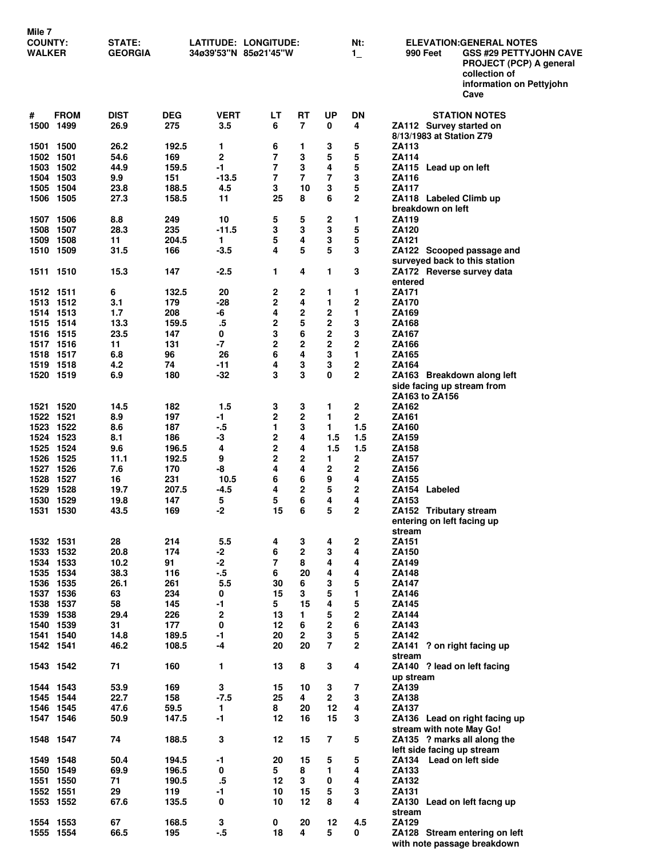| <b>NIIIG</b> I<br><b>COUNTY:</b><br>WALKER |             | STATE:<br><b>GEORGIA</b> |                | <b>LATITUDE: LONGITUDE:</b><br>34ø39'53"N 85ø21'45"W |                     |                         |                | Nt:<br>$1_{-}$          | <b>ELEVATION:GENERAL NOTES</b><br>990 Feet<br><b>GSS #29 PETTYJOHN CAVE</b><br>PROJECT (PCP) A general<br>collection of<br>information on Pettyjohn |
|--------------------------------------------|-------------|--------------------------|----------------|------------------------------------------------------|---------------------|-------------------------|----------------|-------------------------|-----------------------------------------------------------------------------------------------------------------------------------------------------|
| #                                          | <b>FROM</b> | <b>DIST</b>              | <b>DEG</b>     | <b>VERT</b>                                          | LT                  | RT                      | UP             | DN                      | Cave<br><b>STATION NOTES</b>                                                                                                                        |
| 1500 1499                                  |             | 26.9                     | 275            | 3.5                                                  | 6                   | 7                       | 0              | 4                       | ZA112 Survey started on<br>8/13/1983 at Station Z79                                                                                                 |
| 1501 1500                                  |             | 26.2                     | 192.5          | 1                                                    | 6                   | 1                       | 3              | 5                       | <b>ZA113</b>                                                                                                                                        |
| 1502 1501                                  |             | 54.6                     | 169            | 2                                                    | 7                   | 3                       | 5              | 5                       | <b>ZA114</b>                                                                                                                                        |
| 1503 1502<br>1504 1503                     |             | 44.9<br>9.9              | 159.5<br>151   | $-1$<br>$-13.5$                                      | 7<br>7              | 3<br>7                  | 4<br>7         | 5<br>3                  | ZA115 Lead up on left<br><b>ZA116</b>                                                                                                               |
| 1505 1504                                  |             | 23.8                     | 188.5          | 4.5                                                  | 3                   | 10                      | 3              | 5                       | ZA117                                                                                                                                               |
| 1506 1505                                  |             | 27.3                     | 158.5          | 11                                                   | 25                  | 8                       | 6              | 2                       | ZA118 Labeled Climb up<br>breakdown on left                                                                                                         |
| 1507 1506                                  |             | 8.8                      | 249            | 10                                                   | 5                   | 5                       | 2              | 1                       | <b>ZA119</b>                                                                                                                                        |
| 1508                                       | 1507        | 28.3                     | 235            | $-11.5$                                              | 3                   | 3                       | 3              | 5                       | <b>ZA120</b>                                                                                                                                        |
| 1509 1508<br>1510 1509                     |             | 11<br>31.5               | 204.5<br>166   | 1<br>$-3.5$                                          | 5<br>4              | 4<br>5                  | 3<br>5         | 5<br>3                  | ZA121<br>ZA122 Scooped passage and                                                                                                                  |
|                                            |             |                          |                |                                                      |                     |                         |                |                         | surveyed back to this station                                                                                                                       |
| 1511 1510                                  |             | 15.3                     | 147            | $-2.5$                                               | 1                   | 4                       | 1              | 3                       | ZA172 Reverse survey data                                                                                                                           |
| 1512 1511                                  |             | 6                        | 132.5          | 20                                                   | 2                   | 2                       | 1              | 1                       | entered<br>ZA171                                                                                                                                    |
| 1513 1512                                  |             | 3.1                      | 179            | $-28$                                                | 2                   | 4                       | 1              | $\mathbf 2$             | <b>ZA170</b>                                                                                                                                        |
| 1514 1513                                  |             | 1.7                      | 208            | -6                                                   | 4                   | $\mathbf 2$             | 2              | 1                       | ZA169                                                                                                                                               |
| 1515 1514<br>1516 1515                     |             | 13.3                     | 159.5          | $.5\,$                                               | 2                   | 5<br>6                  | 2              | 3                       | ZA168                                                                                                                                               |
| 1517 1516                                  |             | 23.5<br>11               | 147<br>131     | 0<br>$-7$                                            | 3<br>2              | $\mathbf{2}$            | 2<br>2         | 3<br>$\mathbf{2}$       | <b>ZA167</b><br>ZA166                                                                                                                               |
| 1518 1517                                  |             | 6.8                      | 96             | 26                                                   | 6                   | 4                       | 3              | 1                       | ZA165                                                                                                                                               |
| 1519 1518                                  |             | 4.2                      | 74             | -11                                                  | 4                   | 3                       | 3              | 2                       | ZA164                                                                                                                                               |
| 1520 1519                                  |             | 6.9                      | 180            | $-32$                                                | 3                   | 3                       | 0              | $\mathbf 2$             | ZA163 Breakdown along left<br>side facing up stream from                                                                                            |
|                                            |             |                          |                |                                                      |                     |                         |                |                         | ZA163 to ZA156                                                                                                                                      |
| 1521 1520                                  |             | 14.5                     | 182            | 1.5                                                  | 3                   | 3                       | 1              | 2                       | ZA162                                                                                                                                               |
| 1522 1521                                  |             | 8.9                      | 197            | -1                                                   | 2                   | $\mathbf 2$             | 1              | $\mathbf{2}$            | ZA161                                                                                                                                               |
| 1523 1522<br>1524 1523                     |             | 8.6<br>8.1               | 187<br>186     | $-.5$<br>$-3$                                        | 1<br>2              | 3<br>4                  | 1<br>1.5       | 1.5<br>1.5              | <b>ZA160</b><br>ZA159                                                                                                                               |
| 1525 1524                                  |             | 9.6                      | 196.5          | 4                                                    | 2                   | 4                       | 1.5            | 1.5                     | ZA158                                                                                                                                               |
| 1526 1525                                  |             | 11.1                     | 192.5          | 9                                                    | 2                   | $\mathbf{2}$            | 1              | $\mathbf{2}$            | <b>ZA157</b>                                                                                                                                        |
| 1527 1526<br>1528 1527                     |             | 7.6<br>16                | 170<br>231     | -8<br>10.5                                           | 4<br>6              | 4<br>6                  | 2<br>9         | $\mathbf{2}$<br>4       | ZA156<br><b>ZA155</b>                                                                                                                               |
| 1529 1528                                  |             | 19.7                     | 207.5          | $-4.5$                                               | 4                   | 2                       | 5              | 2                       | ZA154 Labeled                                                                                                                                       |
| 1530 1529                                  |             | 19.8                     | 147            | 5                                                    | 5                   | 6                       | 4              | 4                       | ZA153                                                                                                                                               |
| 1531 1530                                  |             | 43.5                     | 169            | $-2$                                                 | 15                  | 6                       | 5              | 2                       | ZA152 Tributary stream                                                                                                                              |
|                                            |             |                          |                |                                                      |                     |                         |                |                         | entering on left facing up<br>stream                                                                                                                |
| 1532 1531                                  |             | 28                       | 214            | 5.5                                                  | 4                   | 3                       | 4              | 2                       | ZA151                                                                                                                                               |
| 1533 1532                                  |             | 20.8                     | 174            | $-2$                                                 | 6                   | $\overline{\mathbf{2}}$ | 3              | 4                       | ZA150                                                                                                                                               |
| 1534 1533<br>1535 1534                     |             | 10.2<br>38.3             | 91<br>116      | $-2$<br>$-5$                                         | $\overline{7}$<br>6 | 8<br>20                 | 4<br>4         | 4<br>4                  | ZA149<br><b>ZA148</b>                                                                                                                               |
| 1536 1535                                  |             | 26.1                     | 261            | 5.5                                                  | 30                  | 6                       | 3              | 5                       | ZA147                                                                                                                                               |
| 1537 1536                                  |             | 63                       | 234            | 0                                                    | 15                  | 3                       | 5              | 1                       | ZA146                                                                                                                                               |
| 1538 1537                                  |             | 58                       | 145            | $-1$                                                 | 5                   | 15                      | 4              | 5                       | ZA145                                                                                                                                               |
| 1539 1538<br>1540 1539                     |             | 29.4<br>31               | 226<br>177     | $\mathbf 2$<br>0                                     | 13<br>12            | 1.<br>6                 | 5<br>2         | $\mathbf 2$<br>6        | ZA144<br>ZA143                                                                                                                                      |
| 1541 1540                                  |             | 14.8                     | 189.5          | $-1$                                                 | 20                  | $\mathbf{2}$            | 3              | 5                       | ZA142                                                                                                                                               |
| 1542 1541                                  |             | 46.2                     | 108.5          | $-4$                                                 | 20                  | 20                      | 7              | $\mathbf{2}$            | ZA141 ? on right facing up                                                                                                                          |
| 1543 1542                                  |             | 71                       | 160            | 1                                                    | 13                  | 8                       | 3              | 4                       | stream<br>ZA140 ? lead on left facing<br>up stream                                                                                                  |
| 1544 1543                                  |             | 53.9                     | 169            | 3                                                    | 15                  | 10                      | 3              | $\overline{\mathbf{r}}$ | ZA139                                                                                                                                               |
| 1545 1544                                  |             | 22.7                     | 158            | $-7.5$                                               | 25                  | 4                       | $\mathbf{2}$   | 3                       | ZA138                                                                                                                                               |
| 1546 1545                                  |             | 47.6                     | 59.5           | 1                                                    | 8                   | 20                      | 12             | 4                       | ZA137                                                                                                                                               |
| 1547 1546                                  |             | 50.9                     | 147.5          | $-1$                                                 | 12                  | 16                      | 15             | 3                       | ZA136 Lead on right facing up<br>stream with note May Go!                                                                                           |
| 1548 1547                                  |             | 74                       | 188.5          | 3                                                    | 12                  | 15                      | $\overline{7}$ | 5                       | ZA135 ? marks all along the<br>left side facing up stream                                                                                           |
| 1549 1548                                  |             | 50.4                     | 194.5          | $-1$                                                 | 20                  | 15                      | 5              | 5                       | ZA134 Lead on left side                                                                                                                             |
| 1550 1549<br>1551 1550                     |             | 69.9<br>71               | 196.5<br>190.5 | 0<br>$.5\,$                                          | 5<br>12             | 8<br>3                  | 1<br>0         | 4<br>4                  | ZA133<br>ZA132                                                                                                                                      |
| 1552 1551                                  |             | 29                       | 119            | $-1$                                                 | 10                  | 15                      | 5              | 3                       | ZA131                                                                                                                                               |
| 1553 1552                                  |             | 67.6                     | 135.5          | 0                                                    | 10                  | 12                      | 8              | 4                       | ZA130 Lead on left facng up<br>stream                                                                                                               |
| 1554 1553                                  |             | 67                       | 168.5          | 3                                                    | 0                   | 20                      | 12             | 4.5                     | <b>ZA129</b>                                                                                                                                        |
| 1555 1554                                  |             | 66.5                     | 195            | $-.5$                                                | 18                  | 4                       | 5              | 0                       | ZA128 Stream entering on left<br>with note passage breakdown                                                                                        |

**Mile 7**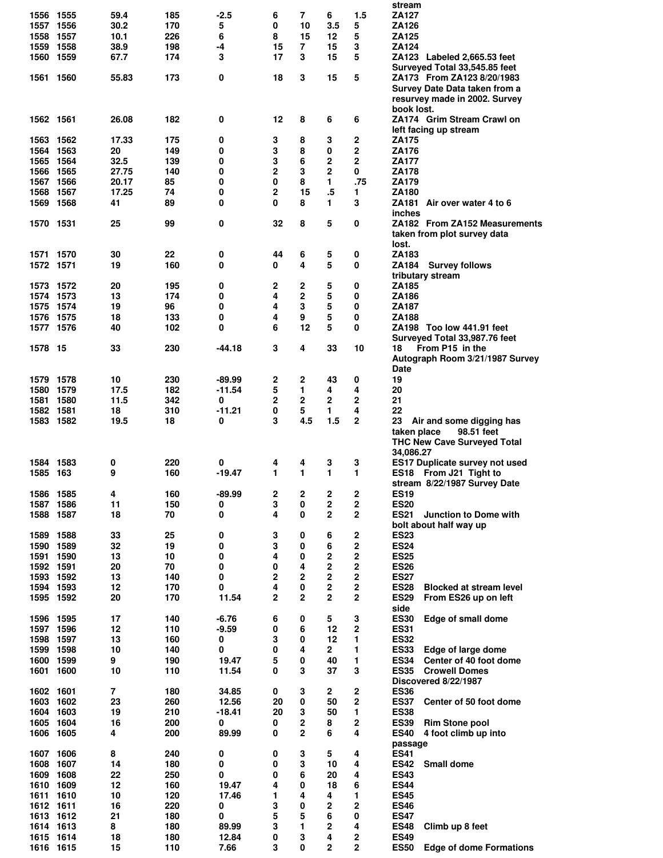|                   |      |          |            |               |             |                |                |                         | stream                                                       |
|-------------------|------|----------|------------|---------------|-------------|----------------|----------------|-------------------------|--------------------------------------------------------------|
| 1556 1555         |      | 59.4     | 185        | $-2.5$        | 6           | 7              | 6              | 1.5                     | <b>ZA127</b>                                                 |
| 1557              | 1556 | 30.2     | 170        | 5             | 0           | 10             | 3.5            | 5                       | ZA126                                                        |
| 1558              | 1557 | 10.1     | 226        | 6             | 8           | 15             | 12             | 5                       | <b>ZA125</b>                                                 |
| 1559              | 1558 | 38.9     | 198        | -4            | 15          | 7              | 15             | 3                       | ZA124                                                        |
| 1560              | 1559 | 67.7     | 174        | 3             | 17          | 3              | 15             | 5                       | ZA123 Labeled 2,665.53 feet                                  |
|                   |      |          |            |               |             |                |                |                         | Surveyed Total 33,545.85 feet                                |
| 1561              | 1560 | 55.83    | 173        | 0             | 18          | 3              | 15             | 5                       | ZA173 From ZA123 8/20/1983                                   |
|                   |      |          |            |               |             |                |                |                         |                                                              |
|                   |      |          |            |               |             |                |                |                         | Survey Date Data taken from a                                |
|                   |      |          |            |               |             |                |                |                         | resurvey made in 2002. Survey                                |
|                   |      |          |            |               |             |                |                |                         | book lost.                                                   |
| 1562 1561         |      | 26.08    | 182        | 0             | 12          | 8              | 6              | 6                       | ZA174 Grim Stream Crawl on                                   |
|                   |      |          |            |               |             |                |                |                         | left facing up stream                                        |
| 1563              | 1562 | 17.33    | 175        | 0             | 3           | 8              | 3              | $\mathbf 2$             | ZA175                                                        |
| 1564 1563         |      | 20       | 149        | 0             | 3           | 8              | 0              | $\mathbf 2$             | <b>ZA176</b>                                                 |
| 1565              | 1564 | 32.5     | 139        | 0             | 3           | 6              | 2              | $\overline{2}$          | <b>ZA177</b>                                                 |
| 1566 1565         |      | 27.75    | 140        | 0             | 2           | 3              | $\overline{2}$ | 0                       | <b>ZA178</b>                                                 |
| 1567              | 1566 | 20.17    | 85         | 0             | 0           | 8              | 1              | .75                     | ZA179                                                        |
| 1568              | 1567 | 17.25    | 74         | 0             | 2           | 15             | $.5\,$         | 1                       | <b>ZA180</b>                                                 |
|                   |      |          |            |               |             |                |                |                         |                                                              |
| 1569              | 1568 | 41       | 89         | 0             | 0           | 8              | 1              | 3                       | ZA181<br>Air over water 4 to 6                               |
|                   |      |          |            |               |             |                |                |                         | inches                                                       |
| 1570 1531         |      | 25       | 99         | 0             | 32          | 8              | 5              | 0                       | ZA182 From ZA152 Measurements                                |
|                   |      |          |            |               |             |                |                |                         | taken from plot survey data                                  |
|                   |      |          |            |               |             |                |                |                         | lost.                                                        |
| 1571              | 1570 | 30       | 22         | 0             | 44          | 6              | 5              | 0                       | <b>ZA183</b>                                                 |
| 1572 1571         |      | 19       | 160        | 0             | 0           | 4              | 5              | 0                       | <b>Survey follows</b><br>ZA184                               |
|                   |      |          |            |               |             |                |                |                         | tributary stream                                             |
| 1573              | 1572 | 20       | 195        | 0             | 2           | 2              | 5              | 0                       | ZA185                                                        |
| 1574 1573         |      | 13       | 174        | 0             | 4           | 2              | 5              | 0                       | ZA186                                                        |
|                   |      |          |            |               |             |                |                |                         |                                                              |
| 1575              | 1574 | 19       | 96         | 0             | 4           | 3              | 5              | 0                       | ZA187                                                        |
| 1576              | 1575 | 18       | 133        | 0             | 4           | 9              | 5              | 0                       | <b>ZA188</b>                                                 |
| 1577 1576         |      | 40       | 102        | 0             | 6           | 12             | 5              | 0                       | ZA198 Too low 441.91 feet                                    |
|                   |      |          |            |               |             |                |                |                         | Surveyed Total 33,987.76 feet                                |
| 1578 15           |      | 33       | 230        | -44.18        | 3           | 4              | 33             | 10                      | From P15 in the<br>18                                        |
|                   |      |          |            |               |             |                |                |                         | Autograph Room 3/21/1987 Survey                              |
|                   |      |          |            |               |             |                |                |                         | <b>Date</b>                                                  |
| 1579 1578         |      | 10       | 230        | $-89.99$      | 2           | 2              | 43             | 0                       | 19                                                           |
|                   |      | 17.5     | 182        | $-11.54$      | 5           | 1              | 4              | 4                       | 20                                                           |
| 1580              | 1579 |          |            |               |             |                |                |                         |                                                              |
| 1581              | 1580 | 11.5     | 342        | 0             | 2           | 2              | 2              | 2                       | 21                                                           |
| 1582              | 1581 | 18       | 310        | -11.21        | $\mathbf 0$ | 5              | 1              | 4                       | 22                                                           |
| 1583 1582         |      | 19.5     | 18         | 0             | 3           | 4.5            | 1.5            | 2                       | 23<br>Air and some digging has                               |
|                   |      |          |            |               |             |                |                |                         | 98.51 feet<br>taken place                                    |
|                   |      |          |            |               |             |                |                |                         | <b>THC New Cave Surveyed Total</b>                           |
|                   |      |          |            |               |             |                |                |                         | 34,086.27                                                    |
| 1584 1583         |      | 0        | 220        | 0             | 4           | 4              | 3              | 3                       | ES17 Duplicate survey not used                               |
| 1585 163          |      |          |            | $-19.47$      | 1           | 1              | 1              | 1                       | ES18 From J21 Tight to                                       |
|                   |      |          |            |               |             |                |                |                         |                                                              |
|                   |      | 9        | 160        |               |             |                |                |                         |                                                              |
|                   |      |          |            |               |             |                |                |                         | stream 8/22/1987 Survey Date                                 |
| 1586 1585         |      | 4        | 160        | $-89.99$      | 2           | 2              | 2              | 2                       | <b>ES19</b>                                                  |
| 1587 1586         |      | 11       | 150        | 0             | 3           | 0              | 2              | 2                       | <b>ES20</b>                                                  |
| 1588              | 1587 | 18       | 70         | 0             | 4           | $\mathbf 0$    | $\overline{2}$ | 2                       | <b>ES21</b><br><b>Junction to Dome with</b>                  |
|                   |      |          |            |               |             |                |                |                         | bolt about half way up                                       |
| 1589              | 1588 | 33       | 25         | 0             | 3           | 0              | 6              | 2                       | <b>ES23</b>                                                  |
| 1590              | 1589 | 32       | 19         | 0             | 3           | 0              | 6              | 2                       | <b>ES24</b>                                                  |
|                   |      | 13       | 10         | 0             | 4           | 0              | 2              | 2                       | <b>ES25</b>                                                  |
| 1591 1590         |      |          |            |               |             |                |                |                         |                                                              |
| 1592 1591         |      | 20       | 70         | 0             | $\pmb{0}$   | 4              | 2              | 2                       | <b>ES26</b>                                                  |
| 1593 1592         |      | 13       | 140        | 0             | 2           | $\overline{2}$ | 2              | 2                       | <b>ES27</b>                                                  |
| 1594 1593         |      | 12       | 170        | 0             | 4           | 0              | 2              | $\mathbf 2$             | <b>ES28</b><br><b>Blocked at stream level</b>                |
| 1595 1592         |      | 20       | 170        | 11.54         | 2           | $\overline{2}$ | $\overline{2}$ | $\mathbf{2}$            | <b>ES29</b><br>From ES26 up on left                          |
|                   |      |          |            |               |             |                |                |                         | side                                                         |
| 1596              | 1595 | 17       | 140        | $-6.76$       | 6           | 0              | 5              | 3                       | <b>ES30</b><br>Edge of small dome                            |
| 1597 1596         |      | 12       | 110        | $-9.59$       | 0           | 6              | 12             | $\overline{\mathbf{2}}$ | <b>ES31</b>                                                  |
| 1598 1597         |      | 13       | 160        | 0             | 3           | 0              | 12             | 1                       | <b>ES32</b>                                                  |
| 1599              | 1598 | 10       | 140        | 0             | 0           | 4              | $\overline{2}$ | 1                       | <b>ES33</b><br>Edge of large dome                            |
| 1600              | 1599 | 9        | 190        | 19.47         | 5           | 0              | 40             | 1                       | <b>ES34</b><br>Center of 40 foot dome                        |
| 1601              | 1600 | 10       | 110        | 11.54         | 0           | 3              | 37             | 3                       | <b>ES35</b><br><b>Crowell Domes</b>                          |
|                   |      |          |            |               |             |                |                |                         |                                                              |
|                   |      |          |            |               |             |                |                |                         | Discovered 8/22/1987                                         |
| 1602 1601         |      | 7        | 180        | 34.85         | 0           | 3              | 2              | 2                       | <b>ES36</b>                                                  |
| 1603              | 1602 | 23       | 260        | 12.56         | 20          | 0              | 50             | $\overline{\mathbf{2}}$ | <b>ES37</b><br>Center of 50 foot dome                        |
| 1604 1603         |      | 19       | 210        | -18.41        | 20          | 3              | 50             | 1                       | <b>ES38</b>                                                  |
| 1605              | 1604 | 16       | 200        | 0             | 0           | 2              | 8              | 2                       | <b>ES39</b><br><b>Rim Stone pool</b>                         |
| 1606              | 1605 | 4        | 200        | 89.99         | 0           | $\overline{2}$ | 6              | 4                       | <b>ES40</b><br>4 foot climb up into                          |
|                   |      |          |            |               |             |                |                |                         | passage                                                      |
| 1607              | 1606 | 8        | 240        | 0             | 0           | 3              | 5              | 4                       | <b>ES41</b>                                                  |
| 1608              | 1607 | 14       | 180        | 0             | 0           | 3              | 10             | 4                       | Small dome<br><b>ES42</b>                                    |
|                   | 1608 | 22       | 250        | 0             | 0           | 6              | 20             | 4                       | <b>ES43</b>                                                  |
| 1609              | 1609 | 12       |            | 19.47         | 4           | 0              | 18             | 6                       | <b>ES44</b>                                                  |
| 1610              |      |          | 160        |               |             |                |                |                         |                                                              |
| 1611 1610         |      | 10       | 120        | 17.46         | 1           | 4              | 4              | 1                       | <b>ES45</b>                                                  |
| 1612 1611         |      | 16       | 220        | 0             | 3           | 0              | 2              | 2                       | <b>ES46</b>                                                  |
| 1613 1612         |      | 21       | 180        | 0             | 5           | 5              | 6              | 0                       | <b>ES47</b>                                                  |
| 1614 1613         |      | 8        | 180        | 89.99         | 3           | 1              | 2              | 4                       | <b>ES48</b><br>Climb up 8 feet                               |
| 1615<br>1616 1615 | 1614 | 18<br>15 | 180<br>110 | 12.84<br>7.66 | 0<br>3      | 3<br>0         | 4<br>2         | 2<br>2                  | <b>ES49</b><br><b>ES50</b><br><b>Edge of dome Formations</b> |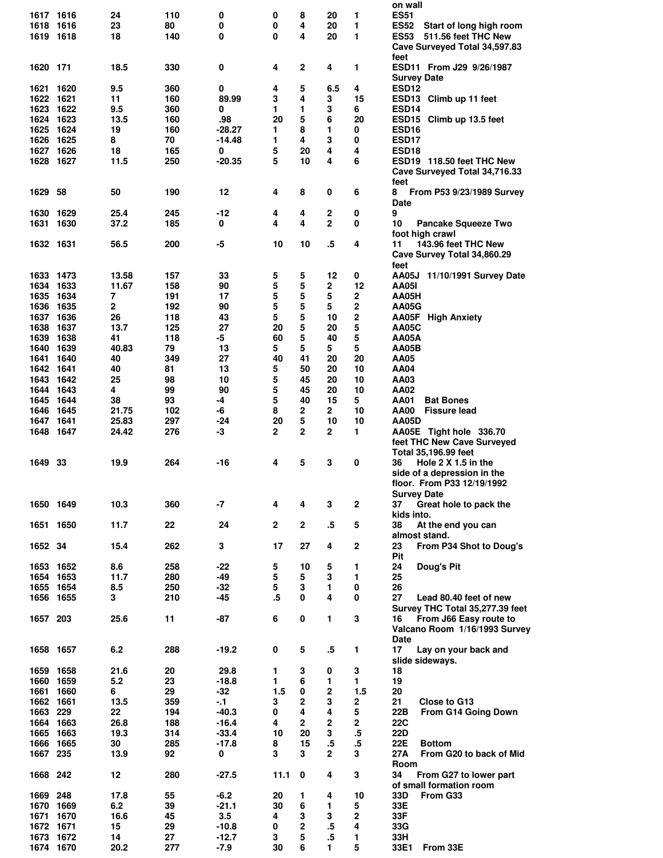|                   |      |            |           |                   |              |              |                  |             | on wall                                |
|-------------------|------|------------|-----------|-------------------|--------------|--------------|------------------|-------------|----------------------------------------|
| 1617 1616         |      | 24         | 110       | 0                 | 0            | 8            | 20               | 1           | <b>ES51</b>                            |
| 1618 1616         |      | 23         | 80        | 0                 | 0            | 4            | 20               | 1           | <b>ES52</b><br>Start of long high room |
| 1619 1618         |      | 18         | 140       | 0                 | 0            | 4            | 20               | 1           | <b>ES53</b><br>511.56 feet THC New     |
|                   |      |            |           |                   |              |              |                  |             | Cave Surveyed Total 34,597.83          |
|                   |      |            |           |                   |              |              |                  |             | feet                                   |
| 1620 171          |      | 18.5       | 330       | 0                 | 4            | $\mathbf 2$  | 4                | 1           | ESD11 From J29 9/26/1987               |
|                   |      |            |           |                   |              |              |                  |             | <b>Survey Date</b>                     |
| 1621 1620         |      | 9.5        | 360       | 0                 | 4            | 5            | 6.5              | 4           | <b>ESD12</b>                           |
| 1622 1621         |      | 11         | 160       | 89.99             | 3            | 4            | 3                | 15          | ESD13 Climb up 11 feet                 |
| 1623 1622         |      | 9.5        | 360       | 0                 | 1            | 1            | 3                | 6           | ESD14                                  |
| 1624 1623         |      | 13.5       | 160       |                   | 20           | 5            | 6                | 20          |                                        |
|                   |      |            |           | .98               |              |              |                  |             | ESD15 Climb up 13.5 feet               |
| 1625              | 1624 | 19         | 160       | $-28.27$          | 1            | 8            | 1                | 0           | ESD <sub>16</sub>                      |
| 1626 1625         |      | 8          | 70        | $-14.48$          | 1            | 4            | 3                | 0           | ESD17                                  |
| 1627 1626         |      | 18         | 165       | 0                 | 5            | 20           | 4                | 4           | ESD <sub>18</sub>                      |
| 1628 1627         |      | 11.5       | 250       | $-20.35$          | 5            | 10           | 4                | 6           | ESD19 118.50 feet THC New              |
|                   |      |            |           |                   |              |              |                  |             | Cave Surveyed Total 34,716.33          |
|                   |      |            |           |                   |              |              |                  |             | feet                                   |
| 1629              | -58  | 50         | 190       | 12                | 4            | 8            | 0                | 6           | 8<br>From P53 9/23/1989 Survey         |
|                   |      |            |           |                   |              |              |                  |             | Date                                   |
| 1630              | 1629 | 25.4       | 245       | $-12$             | 4            | 4            | $\boldsymbol{2}$ | 0           | 9                                      |
| 1631              | 1630 | 37.2       | 185       | 0                 | 4            | 4            | $\overline{2}$   | 0           | 10<br><b>Pancake Squeeze Two</b>       |
|                   |      |            |           |                   |              |              |                  |             | foot high crawl                        |
| 1632 1631         |      | 56.5       | 200       | $-5$              | 10           | 10           | $\overline{.5}$  | 4           | 143.96 feet THC New<br>11              |
|                   |      |            |           |                   |              |              |                  |             | Cave Survey Total 34,860.29            |
|                   |      |            |           |                   |              |              |                  |             |                                        |
|                   |      |            |           |                   |              |              |                  |             | feet                                   |
| 1633 1473         |      | 13.58      | 157       | 33                | 5            | 5            | 12               | 0           | AA05J 11/10/1991 Survey Date           |
| 1634 1633         |      | 11.67      | 158       | 90                | 5            | 5            | $\overline{2}$   | 12          | <b>AA05I</b>                           |
| 1635              | 1634 | 7          | 191       | 17                | 5            | 5            | 5                | 2           | AA05H                                  |
| 1636              | 1635 | 2          | 192       | 90                | 5            | 5            | 5                | 2           | AA05G                                  |
| 1637 1636         |      | 26         | 118       | 43                | 5            | 5            | 10               | $\bf 2$     | AA05F High Anxiety                     |
| 1638 1637         |      | 13.7       | 125       | 27                | 20           | 5            | 20               | 5           | AA05C                                  |
| 1639              | 1638 | 41         | 118       | -5                | 60           | 5            | 40               | 5           | AA05A                                  |
| 1640 1639         |      | 40.83      | 79        | 13                | 5            | 5            | 5                | 5           | AA05B                                  |
| 1641 1640         |      | 40         | 349       | 27                | 40           | 41           | 20               | 20          | AA05                                   |
| 1642 1641         |      | 40         | 81        | 13                | 5            | 50           | 20               | 10          | AA04                                   |
| 1643 1642         |      | 25         | 98        | 10                | 5            | 45           | 20               | 10          | AA03                                   |
|                   |      |            |           |                   |              |              |                  |             |                                        |
| 1644              | 1643 | 4          | 99        | 90                | 5            | 45           | 20               | 10          | AA02                                   |
| 1645              | 1644 | 38         | 93        | -4                | 5            | 40           | 15               | 5           | AA01<br><b>Bat Bones</b>               |
| 1646              | 1645 | 21.75      | 102       | -6                | 8            | 2            | 2                | 10          | AA00<br><b>Fissure lead</b>            |
| 1647 1641         |      | 25.83      | 297       | -24               | 20           | 5            | 10               | 10          | <b>AA05D</b>                           |
| 1648 1647         |      | 24.42      | 276       | -3                | $\mathbf{2}$ | 2            | $\mathbf{2}$     | 1           | AA05E Tight hole 336.70                |
|                   |      |            |           |                   |              |              |                  |             |                                        |
|                   |      |            |           |                   |              |              |                  |             | feet THC New Cave Surveyed             |
|                   |      |            |           |                   |              |              |                  |             |                                        |
| 1649              | 33   | 19.9       | 264       | -16               | 4            | 5            | 3                | 0           | Total 35,196.99 feet<br>36             |
|                   |      |            |           |                   |              |              |                  |             | Hole 2 X 1.5 in the                    |
|                   |      |            |           |                   |              |              |                  |             | side of a depression in the            |
|                   |      |            |           |                   |              |              |                  |             | floor. From P33 12/19/1992             |
|                   |      |            |           |                   |              |              |                  |             | <b>Survey Date</b>                     |
| 1650 1649         |      | 10.3       | 360       | -7                | 4            | 4            | 3                | $\mathbf 2$ | 37<br>Great hole to pack the           |
|                   |      |            |           |                   |              |              |                  |             | kids into.                             |
| 1651 1650         |      | 11.7       | 22        | 24                | $\mathbf{2}$ | $\mathbf 2$  | $.5\,$           | 5           | 38<br>At the end you can               |
|                   |      |            |           |                   |              |              |                  |             | almost stand.                          |
| 1652 34           |      | 15.4       | 262       | 3                 | 17           | 27           | 4                | $\mathbf 2$ | 23<br>From P34 Shot to Doug's          |
|                   |      |            |           |                   |              |              |                  |             | Pit                                    |
| 1653 1652         |      | 8.6        | 258       | -22               | 5            | 10           | 5                | 1           | 24<br>Doug's Pit                       |
| 1654 1653         |      | 11.7       | 280       | $-49$             | 5            | 5            | 3                | 1           | 25                                     |
| 1655 1654         |      | 8.5        | 250       | $-32$             | 5            | 3            | 1                | 0           | 26                                     |
| 1656 1655         |      | 3          | 210       | $-45$             | .5           | 0            | 4                | 0           | 27<br>Lead 80.40 feet of new           |
|                   |      |            |           |                   |              |              |                  |             |                                        |
|                   |      |            |           |                   |              |              |                  |             | Survey THC Total 35,277.39 feet        |
| 1657 203          |      | 25.6       | 11        | -87               | 6            | 0            | 1                | 3           | From J66 Easy route to<br>16           |
|                   |      |            |           |                   |              |              |                  |             | Valcano Room 1/16/1993 Survey          |
|                   |      |            |           |                   |              |              |                  |             | Date                                   |
| 1658 1657         |      | 6.2        | 288       | $-19.2$           | 0            | 5            | $.5\,$           | 1           | 17<br>Lay on your back and             |
|                   |      |            |           |                   |              |              |                  |             | slide sideways.                        |
| 1659 1658         |      | 21.6       | 20        | 29.8              | 1            | 3            | 0                | 3           | 18                                     |
| 1660 1659         |      | 5.2        | 23        | $-18.8$           | 1            | 6            | 1                | 1           | 19                                     |
| 1661 1660         |      | 6          | 29        | $-32$             | 1.5          | 0            | 2                | 1.5         | 20                                     |
| 1662 1661         |      | 13.5       | 359       | $-1$              | 3            | 2            | 3                | 2           | 21<br>Close to G13                     |
| 1663 229          |      | 22         | 194       | $-40.3$           | 0            | 4            | 4                | 5           | From G14 Going Down<br>22B             |
| 1664 1663         |      | 26.8       | 188       | $-16.4$           | 4            | $\mathbf{2}$ | $\mathbf{2}$     | 2           | <b>22C</b>                             |
| 1665 1663         |      | 19.3       | 314       | $-33.4$           | 10           | 20           | 3                | $.5\,$      | 22D                                    |
| 1666 1665         |      | 30         | 285       | $-17.8$           | 8            | 15           |                  |             | 22E<br><b>Bottom</b>                   |
|                   |      |            |           |                   |              |              | $.5\,$           | $.5\,$      |                                        |
| 1667 235          |      | 13.9       | 92        | 0                 | 3            | 3            | $\overline{2}$   | 3           | 27A<br>From G20 to back of Mid         |
|                   |      |            |           |                   |              |              |                  |             | Room                                   |
| 1668 242          |      | 12         | 280       | $-27.5$           | 11.1         | 0            | 4                | 3           | 34<br>From G27 to lower part           |
|                   |      |            |           |                   |              |              |                  |             | of small formation room                |
| 1669 248          |      | 17.8       | 55        | $-6.2$            | 20           | 1            | 4                | 10          | 33D<br>From G33                        |
| 1670 1669         |      | 6.2        | 39        | $-21.1$           | 30           | 6            | 1                | 5           | 33E                                    |
| 1671 1670         |      | 16.6       | 45        | 3.5               | 4            | 3            | 3                | $\mathbf 2$ | 33F                                    |
| 1672 1671         |      | 15         | 29        | $-10.8$           | 0            | $\mathbf{2}$ | $.5\,$           | 4           | 33G                                    |
| 1673<br>1674 1670 | 1672 | 14<br>20.2 | 27<br>277 | $-12.7$<br>$-7.9$ | 3<br>30      | 5<br>6       | $.5\,$<br>1      | 1<br>5      | 33H<br>33E1<br>From 33E                |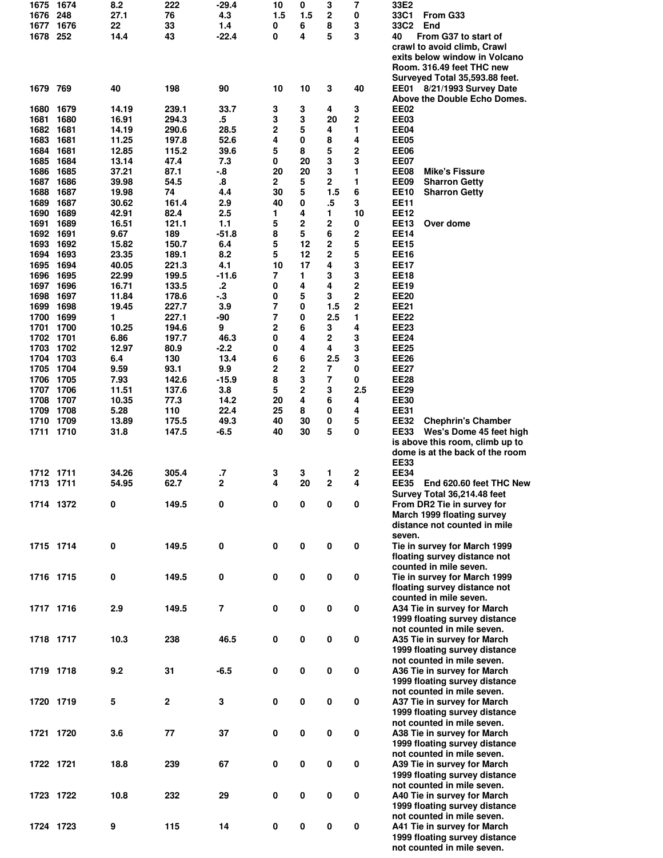|           | 1674      | 8.2   | 222          | -29.4          | 10          | 0           | 3                       | 7              | 33E2                                                        |
|-----------|-----------|-------|--------------|----------------|-------------|-------------|-------------------------|----------------|-------------------------------------------------------------|
| 1676      | 248       | 27.1  | 76           | 4.3            | 1.5         | 1.5         | 2                       | 0              | 33C1<br>From G33                                            |
| 1677      | 1676      | 22    | 33           | 1.4            | 0           | 6           | 8                       | 3              | 33C2<br>End                                                 |
| 1678 252  |           | 14.4  | 43           | $-22.4$        | 0           | 4           | 5                       | 3              | From G37 to start of<br>40                                  |
|           |           |       |              |                |             |             |                         |                | crawl to avoid climb, Crawl                                 |
|           |           |       |              |                |             |             |                         |                | exits below window in Volcano                               |
|           |           |       |              |                |             |             |                         |                | Room. 316.49 feet THC new                                   |
|           |           |       |              |                |             |             |                         |                | Surveyed Total 35,593.88 feet.                              |
| 1679 769  |           | 40    | 198          | 90             | 10          | 10          | 3                       | 40             | EE01 8/21/1993 Survey Date                                  |
|           |           |       |              |                |             |             |                         |                |                                                             |
|           |           |       |              |                |             |             |                         |                | Above the Double Echo Domes.                                |
| 1680      | 1679      | 14.19 | 239.1        | 33.7           | 3           | 3           | 4                       | 3              | EE02                                                        |
| 1681      | 1680      | 16.91 | 294.3        | .5             | 3           | 3           | 20                      | $\overline{2}$ | EE03                                                        |
| 1682      | 1681      | 14.19 | 290.6        | 28.5           | 2           | 5           | 4                       | 1              | <b>EE04</b>                                                 |
| 1683      | 1681      | 11.25 | 197.8        | 52.6           | 4           | 0           | 8                       | 4              | <b>EE05</b>                                                 |
| 1684      | 1681      | 12.85 | 115.2        | 39.6           | 5           | 8           | 5                       | 2              | <b>EE06</b>                                                 |
| 1685      | 1684      | 13.14 | 47.4         | 7.3            | 0           | 20          | 3                       | 3              | <b>EE07</b>                                                 |
| 1686      | 1685      | 37.21 | 87.1         | $-8$           | 20          | 20          | 3                       | 1              | EE08<br><b>Mike's Fissure</b>                               |
| 1687      | 1686      | 39.98 | 54.5         | 8.             | $\mathbf 2$ | 5           | $\mathbf{2}$            | 1              | EE09<br><b>Sharron Getty</b>                                |
| 1688      | 1687      | 19.98 | 74           | 4.4            | 30          | 5           | 1.5                     | 6              | <b>EE10</b><br><b>Sharron Getty</b>                         |
|           |           |       |              |                |             |             |                         |                |                                                             |
| 1689      | 1687      | 30.62 | 161.4        | 2.9            | 40          | 0           | .5                      | 3              | <b>EE11</b>                                                 |
| 1690      | 1689      | 42.91 | 82.4         | 2.5            | 1           | 4           | 1                       | 10             | <b>EE12</b>                                                 |
| 1691      | 1689      | 16.51 | 121.1        | 1.1            | 5           | 2           | 2                       | 0              | <b>EE13</b><br>Over dome                                    |
| 1692      | 1691      | 9.67  | 189          | $-51.8$        | 8           | 5           | 6                       | 2              | <b>EE14</b>                                                 |
| 1693      | 1692      | 15.82 | 150.7        | 6.4            | 5           | 12          | 2                       | 5              | <b>EE15</b>                                                 |
| 1694      | 1693      | 23.35 | 189.1        | 8.2            | 5           | 12          | $\overline{2}$          | 5              | <b>EE16</b>                                                 |
| 1695      | 1694      | 40.05 | 221.3        | 4.1            | 10          | 17          | 4                       | 3              | <b>EE17</b>                                                 |
| 1696      | 1695      | 22.99 | 199.5        | $-11.6$        | 7           | 1           | 3                       | 3              | <b>EE18</b>                                                 |
| 1697      | 1696      | 16.71 | 133.5        | $\mathbf{.2}$  | 0           | 4           | 4                       | 2              | <b>EE19</b>                                                 |
|           |           |       |              |                |             |             |                         | 2              |                                                             |
| 1698      | 1697      | 11.84 | 178.6        | $-3$           | 0           | 5           | 3                       |                | <b>EE20</b>                                                 |
| 1699      | 1698      | 19.45 | 227.7        | 3.9            | 7           | 0           | 1.5                     | $\overline{2}$ | <b>EE21</b>                                                 |
| 1700 1699 |           | 1     | 227.1        | -90            | 7           | 0           | 2.5                     | 1              | <b>EE22</b>                                                 |
| 1701      | 1700      | 10.25 | 194.6        | 9              | 2           | 6           | 3                       | 4              | <b>EE23</b>                                                 |
| 1702      | 1701      | 6.86  | 197.7        | 46.3           | 0           | 4           | $\overline{\mathbf{2}}$ | 3              | <b>EE24</b>                                                 |
| 1703      | 1702      | 12.97 | 80.9         | $-2.2$         | 0           | 4           | 4                       | 3              | <b>EE25</b>                                                 |
| 1704      | 1703      | 6.4   | 130          | 13.4           | 6           | 6           | 2.5                     | 3              | <b>EE26</b>                                                 |
| 1705 1704 |           | 9.59  | 93.1         | 9.9            | 2           | $\mathbf 2$ | 7                       | 0              | <b>EE27</b>                                                 |
| 1706      | 1705      | 7.93  | 142.6        | $-15.9$        | 8           | 3           | 7                       | 0              | <b>EE28</b>                                                 |
|           |           |       |              |                |             |             |                         |                |                                                             |
| 1707      | 1706      | 11.51 | 137.6        | 3.8            | 5           | 2           | 3                       | 2.5            | <b>EE29</b>                                                 |
| 1708      | 1707      | 10.35 | 77.3         | 14.2           | 20          | 4           | 6                       | 4              | <b>EE30</b>                                                 |
| 1709      | 1708      | 5.28  | 110          | 22.4           | 25          | 8           | 0                       | 4              | <b>EE31</b>                                                 |
| 1710 1709 |           | 13.89 | 175.5        | 49.3           | 40          | 30          | 0                       | 5              | <b>EE32</b><br><b>Chephrin's Chamber</b>                    |
| 1711      | 1710      | 31.8  | 147.5        | $-6.5$         | 40          | 30          | 5                       | 0              | <b>EE33</b><br>Wes's Dome 45 feet high                      |
|           |           |       |              |                |             |             |                         |                | is above this room, climb up to                             |
|           |           |       |              |                |             |             |                         |                | dome is at the back of the room                             |
|           |           |       |              |                |             |             |                         |                | <b>EE33</b>                                                 |
| 1712 1711 |           | 34.26 | 305.4        | $\cdot$        | 3           | 3           | 1                       | 2              | <b>EE34</b>                                                 |
| 1713      |           | 54.95 | 62.7         | $\mathbf{2}$   | 4           | 20          | $\overline{2}$          | 4              | <b>EE35</b>                                                 |
|           | 1711      |       |              |                |             |             |                         |                | End 620.60 feet THC New                                     |
|           |           |       |              |                |             |             |                         |                |                                                             |
|           |           |       |              |                |             |             |                         |                | Survey Total 36,214.48 feet                                 |
|           | 1714 1372 | 0     | 149.5        | 0              | 0           | 0           | 0                       | 0              | From DR2 Tie in survey for                                  |
|           |           |       |              |                |             |             |                         |                | March 1999 floating survey                                  |
|           |           |       |              |                |             |             |                         |                | distance not counted in mile                                |
|           |           |       |              |                |             |             |                         |                | seven.                                                      |
|           |           |       |              |                |             |             |                         |                |                                                             |
| 1715 1714 |           | 0     | 149.5        | $\pmb{0}$      | $\pmb{0}$   | $\pmb{0}$   | $\pmb{0}$               | 0              | Tie in survey for March 1999                                |
|           |           |       |              |                |             |             |                         |                | floating survey distance not                                |
|           |           |       |              |                |             |             |                         |                | counted in mile seven.                                      |
| 1716 1715 |           | 0     | 149.5        | $\pmb{0}$      | $\pmb{0}$   | $\pmb{0}$   | $\pmb{0}$               | 0              | Tie in survey for March 1999                                |
|           |           |       |              |                |             |             |                         |                | floating survey distance not                                |
|           |           |       |              |                |             |             |                         |                | counted in mile seven.                                      |
| 1717 1716 |           | 2.9   | 149.5        | $\overline{7}$ | 0           | $\pmb{0}$   | $\pmb{0}$               | 0              | A34 Tie in survey for March                                 |
|           |           |       |              |                |             |             |                         |                | 1999 floating survey distance                               |
|           |           |       |              |                |             |             |                         |                | not counted in mile seven.                                  |
|           |           |       |              |                |             |             |                         |                |                                                             |
| 1718 1717 |           | 10.3  | 238          | 46.5           | 0           | $\pmb{0}$   | $\pmb{0}$               | $\pmb{0}$      | A35 Tie in survey for March                                 |
|           |           |       |              |                |             |             |                         |                | 1999 floating survey distance                               |
|           |           |       |              |                |             |             |                         |                | not counted in mile seven.                                  |
| 1719 1718 |           | 9.2   | 31           | $-6.5$         | $\pmb{0}$   | $\pmb{0}$   | $\pmb{0}$               | $\pmb{0}$      | A36 Tie in survey for March                                 |
|           |           |       |              |                |             |             |                         |                | 1999 floating survey distance                               |
|           |           |       |              |                |             |             |                         |                | not counted in mile seven.                                  |
| 1720 1719 |           | 5     | $\mathbf{2}$ | $\mathbf 3$    | $\pmb{0}$   | $\pmb{0}$   | $\pmb{0}$               | $\pmb{0}$      | A37 Tie in survey for March                                 |
|           |           |       |              |                |             |             |                         |                | 1999 floating survey distance                               |
|           |           |       |              |                |             |             |                         |                | not counted in mile seven.                                  |
| 1721 1720 |           | 3.6   | 77           | 37             |             |             |                         |                |                                                             |
|           |           |       |              |                | $\pmb{0}$   | $\pmb{0}$   | $\pmb{0}$               | 0              | A38 Tie in survey for March                                 |
|           |           |       |              |                |             |             |                         |                | 1999 floating survey distance                               |
|           |           |       |              |                |             |             |                         |                | not counted in mile seven.                                  |
| 1722 1721 |           | 18.8  | 239          | 67             | 0           | $\pmb{0}$   | $\pmb{0}$               | 0              | A39 Tie in survey for March                                 |
|           |           |       |              |                |             |             |                         |                | 1999 floating survey distance                               |
|           |           |       |              |                |             |             |                         |                | not counted in mile seven.                                  |
| 1723 1722 |           | 10.8  | 232          | 29             | 0           | $\pmb{0}$   | $\pmb{0}$               | 0              | A40 Tie in survey for March                                 |
|           |           |       |              |                |             |             |                         |                | 1999 floating survey distance                               |
|           |           |       |              |                |             |             |                         |                | not counted in mile seven.                                  |
| 1724 1723 |           | 9     | 115          | 14             | $\pmb{0}$   | $\pmb{0}$   | 0                       | $\pmb{0}$      | A41 Tie in survey for March                                 |
|           |           |       |              |                |             |             |                         |                |                                                             |
|           |           |       |              |                |             |             |                         |                | 1999 floating survey distance<br>not counted in mile seven. |